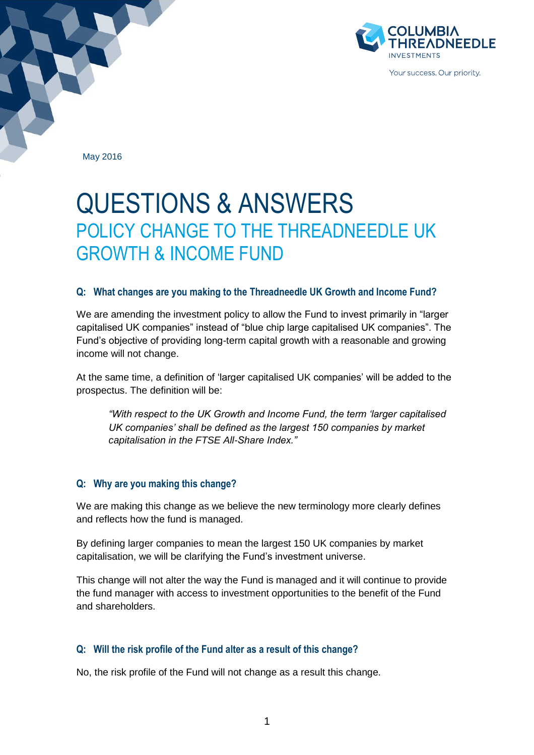

May 2016

# QUESTIONS & ANSWERS POLICY CHANGE TO THE THREADNEEDLE UK GROWTH & INCOME FUND

#### **Q: What changes are you making to the Threadneedle UK Growth and Income Fund?**

We are amending the investment policy to allow the Fund to invest primarily in "larger capitalised UK companies" instead of "blue chip large capitalised UK companies". The Fund's objective of providing long-term capital growth with a reasonable and growing income will not change.

At the same time, a definition of 'larger capitalised UK companies' will be added to the prospectus. The definition will be:

*"With respect to the UK Growth and Income Fund, the term 'larger capitalised UK companies' shall be defined as the largest 150 companies by market capitalisation in the FTSE All-Share Index."*

# **Q: Why are you making this change?**

We are making this change as we believe the new terminology more clearly defines and reflects how the fund is managed.

By defining larger companies to mean the largest 150 UK companies by market capitalisation, we will be clarifying the Fund's investment universe.

This change will not alter the way the Fund is managed and it will continue to provide the fund manager with access to investment opportunities to the benefit of the Fund and shareholders.

#### **Q: Will the risk profile of the Fund alter as a result of this change?**

No, the risk profile of the Fund will not change as a result this change.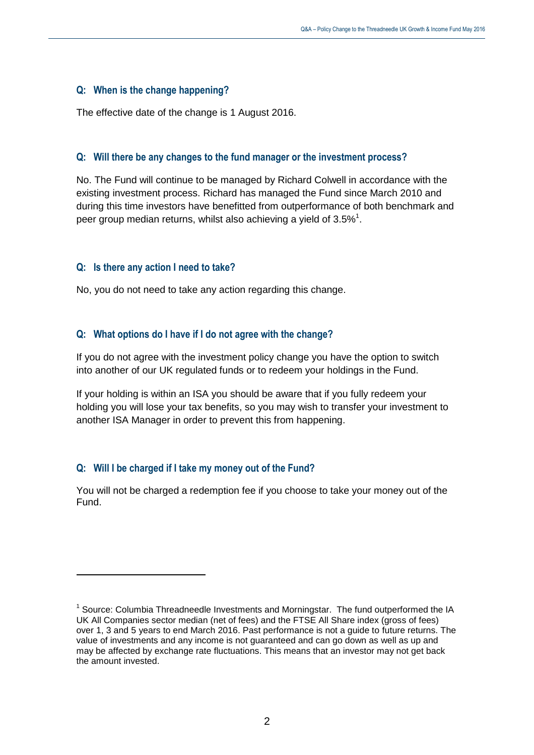### **Q: When is the change happening?**

The effective date of the change is 1 August 2016.

### **Q: Will there be any changes to the fund manager or the investment process?**

No. The Fund will continue to be managed by Richard Colwell in accordance with the existing investment process. Richard has managed the Fund since March 2010 and during this time investors have benefitted from outperformance of both benchmark and peer group median returns, whilst also achieving a yield of 3.5%<sup>1</sup>.

### **Q: Is there any action I need to take?**

No, you do not need to take any action regarding this change.

### **Q: What options do I have if I do not agree with the change?**

If you do not agree with the investment policy change you have the option to switch into another of our UK regulated funds or to redeem your holdings in the Fund.

If your holding is within an ISA you should be aware that if you fully redeem your holding you will lose your tax benefits, so you may wish to transfer your investment to another ISA Manager in order to prevent this from happening.

# **Q: Will I be charged if I take my money out of the Fund?**

 $\overline{a}$ 

You will not be charged a redemption fee if you choose to take your money out of the Fund.

<sup>&</sup>lt;sup>1</sup> Source: Columbia Threadneedle Investments and Morningstar. The fund outperformed the IA UK All Companies sector median (net of fees) and the FTSE All Share index (gross of fees) over 1, 3 and 5 years to end March 2016. Past performance is not a guide to future returns. The value of investments and any income is not guaranteed and can go down as well as up and may be affected by exchange rate fluctuations. This means that an investor may not get back the amount invested.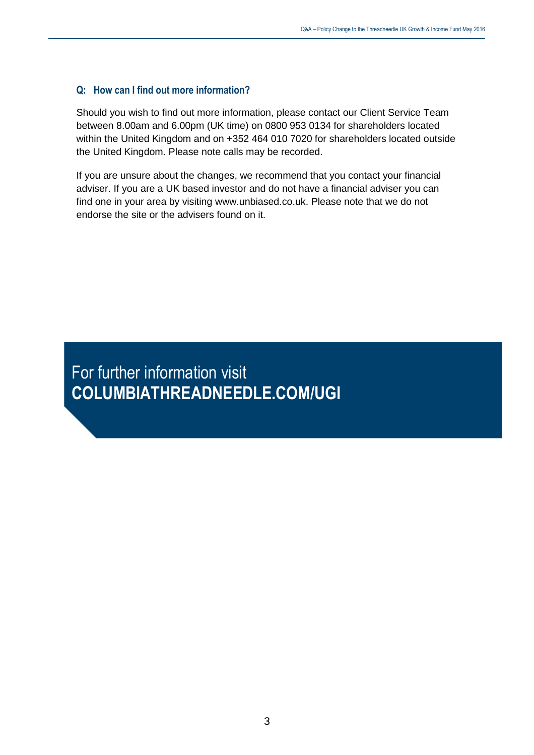## **Q: How can I find out more information?**

Should you wish to find out more information, please contact our Client Service Team between 8.00am and 6.00pm (UK time) on 0800 953 0134 for shareholders located within the United Kingdom and on +352 464 010 7020 for shareholders located outside the United Kingdom. Please note calls may be recorded.

If you are unsure about the changes, we recommend that you contact your financial adviser. If you are a UK based investor and do not have a financial adviser you can find one in your area by visiting www.unbiased.co.uk. Please note that we do not endorse the site or the advisers found on it.

For further information visit **COLUMBIATHREADNEEDLE.COM/UGI**